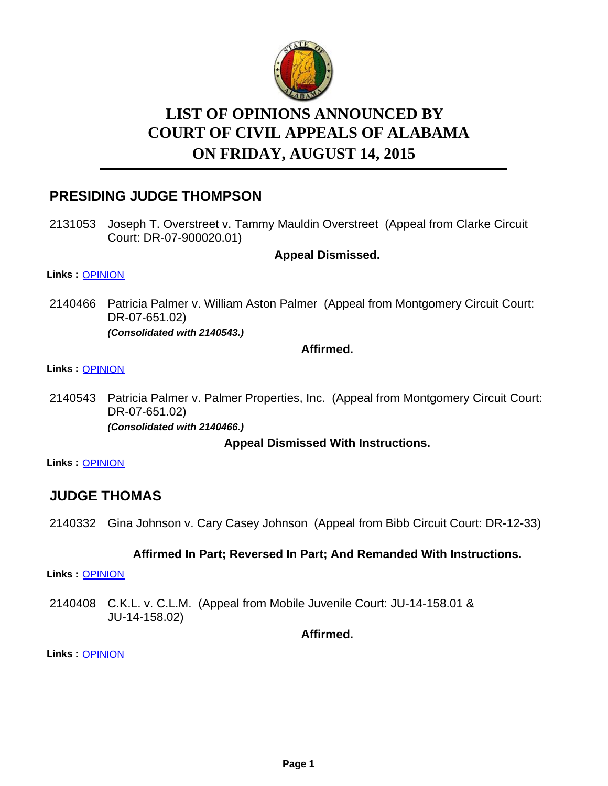

# **LIST OF OPINIONS ANNOUNCED BY ON FRIDAY, AUGUST 14, 2015 COURT OF CIVIL APPEALS OF ALABAMA**

# **PRESIDING JUDGE THOMPSON**

2131053 Joseph T. Overstreet v. Tammy Mauldin Overstreet (Appeal from Clarke Circuit Court: DR-07-900020.01)

**Appeal Dismissed.**

#### **Links :** [OPINION](https://acis.alabama.gov/displaydocs.cfm?no=677170&event=4F70MFHZE)

2140466 Patricia Palmer v. William Aston Palmer (Appeal from Montgomery Circuit Court: DR-07-651.02) *(Consolidated with 2140543.)*

**Affirmed.**

### **Links :** [OPINION](https://acis.alabama.gov/displaydocs.cfm?no=677174&event=4F70MFRKB)

2140543 Patricia Palmer v. Palmer Properties, Inc. (Appeal from Montgomery Circuit Court: DR-07-651.02) *(Consolidated with 2140466.)*

**Appeal Dismissed With Instructions.**

**Links :** [OPINION](https://acis.alabama.gov/displaydocs.cfm?no=677174&event=4F70MFRKB)

# **JUDGE THOMAS**

2140332 Gina Johnson v. Cary Casey Johnson (Appeal from Bibb Circuit Court: DR-12-33)

### **Affirmed In Part; Reversed In Part; And Remanded With Instructions.**

**Links :** [OPINION](https://acis.alabama.gov/displaydocs.cfm?no=677172&event=4F70MFMXH)

2140408 C.K.L. v. C.L.M. (Appeal from Mobile Juvenile Court: JU-14-158.01 & JU-14-158.02)

**Affirmed.**

**Links :** [OPINION](https://acis.alabama.gov/displaydocs.cfm?no=677173&event=4F70MFP26)